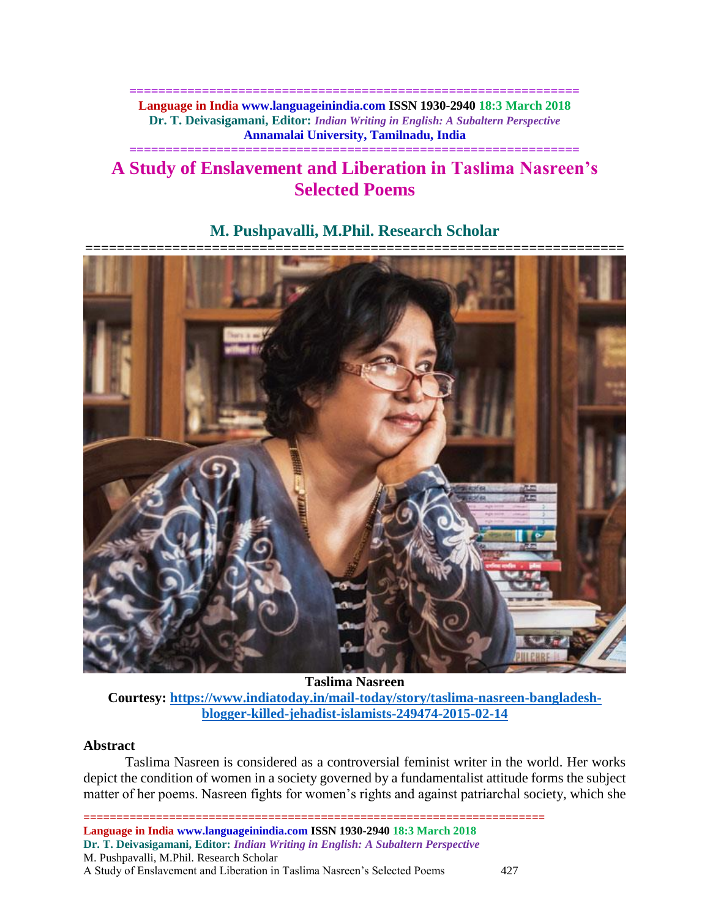**============================================================== Language in India www.languageinindia.com ISSN 1930-2940 18:3 March 2018 Dr. T. Deivasigamani, Editor:** *Indian Writing in English: A Subaltern Perspective* **Annamalai University, Tamilnadu, India**

# **============================================================== A Study of Enslavement and Liberation in Taslima Nasreen's Selected Poems**



# **M. Pushpavalli, M.Phil. Research Scholar**

**Taslima Nasreen**

**Courtesy: [https://www.indiatoday.in/mail-today/story/taslima-nasreen-bangladesh](https://www.indiatoday.in/mail-today/story/taslima-nasreen-bangladesh-blogger-killed-jehadist-islamists-249474-2015-02-14)[blogger-killed-jehadist-islamists-249474-2015-02-14](https://www.indiatoday.in/mail-today/story/taslima-nasreen-bangladesh-blogger-killed-jehadist-islamists-249474-2015-02-14)**

### **Abstract**

Taslima Nasreen is considered as a controversial feminist writer in the world. Her works depict the condition of women in a society governed by a fundamentalist attitude forms the subject matter of her poems. Nasreen fights for women's rights and against patriarchal society, which she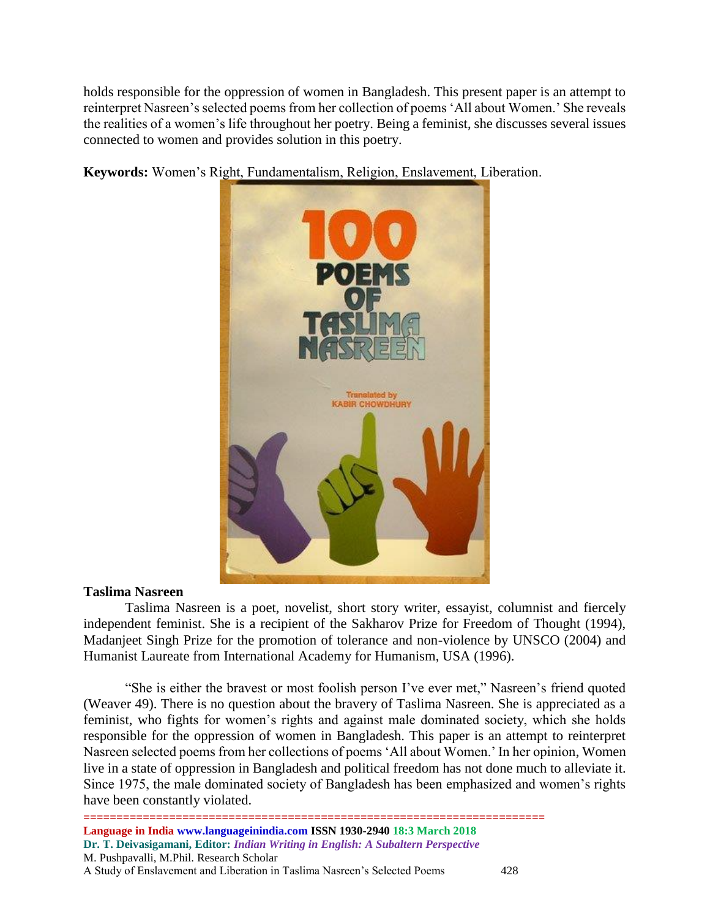holds responsible for the oppression of women in Bangladesh. This present paper is an attempt to reinterpret Nasreen's selected poems from her collection of poems 'All about Women.' She reveals the realities of a women's life throughout her poetry. Being a feminist, she discusses several issues connected to women and provides solution in this poetry.

**Keywords:** Women's Right, Fundamentalism, Religion, Enslavement, Liberation.



## **Taslima Nasreen**

Taslima Nasreen is a poet, novelist, short story writer, essayist, columnist and fiercely independent feminist. She is a recipient of the Sakharov Prize for Freedom of Thought (1994), Madanjeet Singh Prize for the promotion of tolerance and non-violence by UNSCO (2004) and Humanist Laureate from International Academy for Humanism, USA (1996).

"She is either the bravest or most foolish person I've ever met," Nasreen's friend quoted (Weaver 49). There is no question about the bravery of Taslima Nasreen. She is appreciated as a feminist, who fights for women's rights and against male dominated society, which she holds responsible for the oppression of women in Bangladesh. This paper is an attempt to reinterpret Nasreen selected poems from her collections of poems 'All about Women.' In her opinion, Women live in a state of oppression in Bangladesh and political freedom has not done much to alleviate it. Since 1975, the male dominated society of Bangladesh has been emphasized and women's rights have been constantly violated.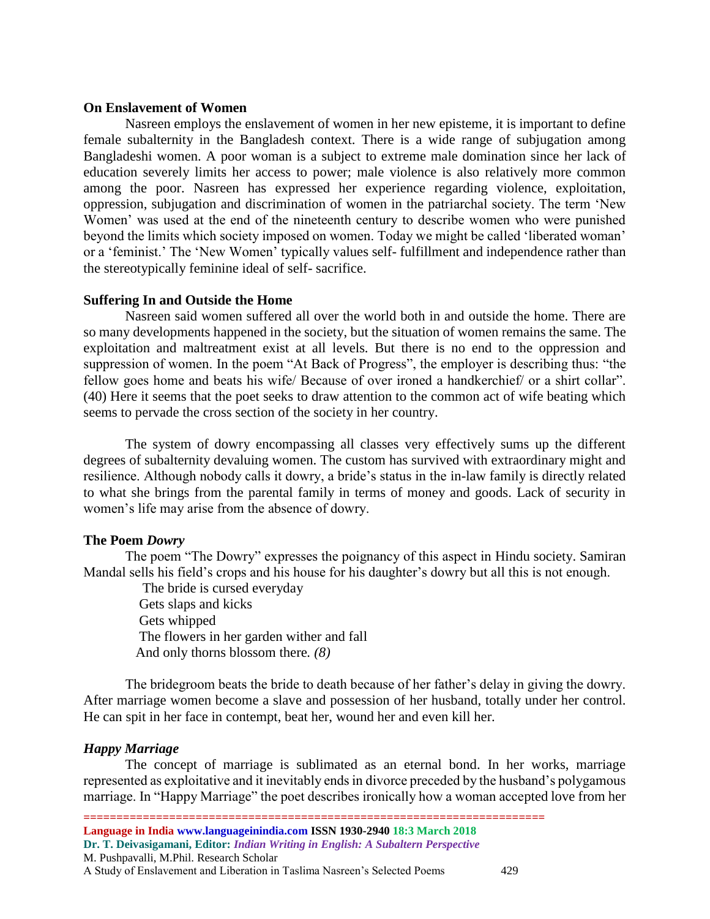#### **On Enslavement of Women**

Nasreen employs the enslavement of women in her new episteme, it is important to define female subalternity in the Bangladesh context. There is a wide range of subjugation among Bangladeshi women. A poor woman is a subject to extreme male domination since her lack of education severely limits her access to power; male violence is also relatively more common among the poor. Nasreen has expressed her experience regarding violence, exploitation, oppression, subjugation and discrimination of women in the patriarchal society. The term 'New Women' was used at the end of the nineteenth century to describe women who were punished beyond the limits which society imposed on women. Today we might be called 'liberated woman' or a 'feminist.' The 'New Women' typically values self- fulfillment and independence rather than the stereotypically feminine ideal of self- sacrifice.

### **Suffering In and Outside the Home**

Nasreen said women suffered all over the world both in and outside the home. There are so many developments happened in the society, but the situation of women remains the same. The exploitation and maltreatment exist at all levels. But there is no end to the oppression and suppression of women. In the poem "At Back of Progress", the employer is describing thus: "the fellow goes home and beats his wife/ Because of over ironed a handkerchief/ or a shirt collar". (40) Here it seems that the poet seeks to draw attention to the common act of wife beating which seems to pervade the cross section of the society in her country.

The system of dowry encompassing all classes very effectively sums up the different degrees of subalternity devaluing women. The custom has survived with extraordinary might and resilience. Although nobody calls it dowry, a bride's status in the in-law family is directly related to what she brings from the parental family in terms of money and goods. Lack of security in women's life may arise from the absence of dowry.

### **The Poem** *Dowry*

The poem "The Dowry" expresses the poignancy of this aspect in Hindu society. Samiran Mandal sells his field's crops and his house for his daughter's dowry but all this is not enough.

 The bride is cursed everyday Gets slaps and kicks Gets whipped The flowers in her garden wither and fall And only thorns blossom there*. (8)*

The bridegroom beats the bride to death because of her father's delay in giving the dowry. After marriage women become a slave and possession of her husband, totally under her control. He can spit in her face in contempt, beat her, wound her and even kill her.

### *Happy Marriage*

The concept of marriage is sublimated as an eternal bond. In her works, marriage represented as exploitative and it inevitably ends in divorce preceded by the husband's polygamous marriage. In "Happy Marriage" the poet describes ironically how a woman accepted love from her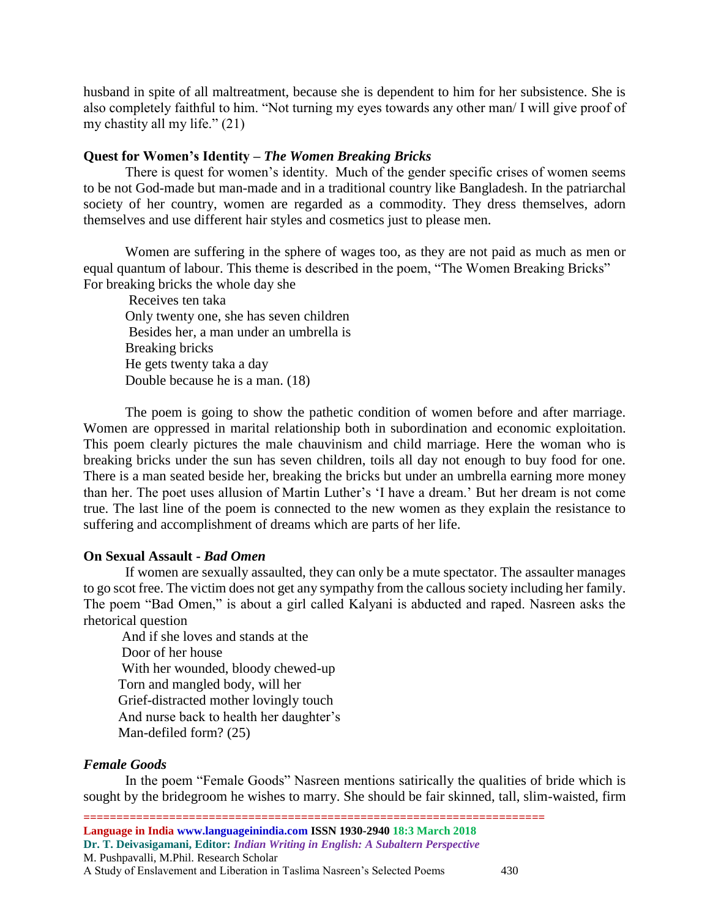husband in spite of all maltreatment, because she is dependent to him for her subsistence. She is also completely faithful to him. "Not turning my eyes towards any other man/ I will give proof of my chastity all my life." (21)

### **Quest for Women's Identity –** *The Women Breaking Bricks*

There is quest for women's identity. Much of the gender specific crises of women seems to be not God-made but man-made and in a traditional country like Bangladesh. In the patriarchal society of her country, women are regarded as a commodity. They dress themselves, adorn themselves and use different hair styles and cosmetics just to please men.

Women are suffering in the sphere of wages too, as they are not paid as much as men or equal quantum of labour. This theme is described in the poem, "The Women Breaking Bricks" For breaking bricks the whole day she

 Receives ten taka Only twenty one, she has seven children Besides her, a man under an umbrella is Breaking bricks He gets twenty taka a day Double because he is a man. (18)

The poem is going to show the pathetic condition of women before and after marriage. Women are oppressed in marital relationship both in subordination and economic exploitation. This poem clearly pictures the male chauvinism and child marriage. Here the woman who is breaking bricks under the sun has seven children, toils all day not enough to buy food for one. There is a man seated beside her, breaking the bricks but under an umbrella earning more money than her. The poet uses allusion of Martin Luther's 'I have a dream.' But her dream is not come true. The last line of the poem is connected to the new women as they explain the resistance to suffering and accomplishment of dreams which are parts of her life.

### **On Sexual Assault -** *Bad Omen*

If women are sexually assaulted, they can only be a mute spectator. The assaulter manages to go scot free. The victim does not get any sympathy from the callous society including her family. The poem "Bad Omen," is about a girl called Kalyani is abducted and raped. Nasreen asks the rhetorical question

 And if she loves and stands at the Door of her house With her wounded, bloody chewed-up Torn and mangled body, will her Grief-distracted mother lovingly touch And nurse back to health her daughter's Man-defiled form? (25)

## *Female Goods*

In the poem "Female Goods" Nasreen mentions satirically the qualities of bride which is sought by the bridegroom he wishes to marry. She should be fair skinned, tall, slim-waisted, firm

**====================================================================== Language in India www.languageinindia.com ISSN 1930-2940 18:3 March 2018 Dr. T. Deivasigamani, Editor:** *Indian Writing in English: A Subaltern Perspective* M. Pushpavalli, M.Phil. Research Scholar A Study of Enslavement and Liberation in Taslima Nasreen's Selected Poems 430